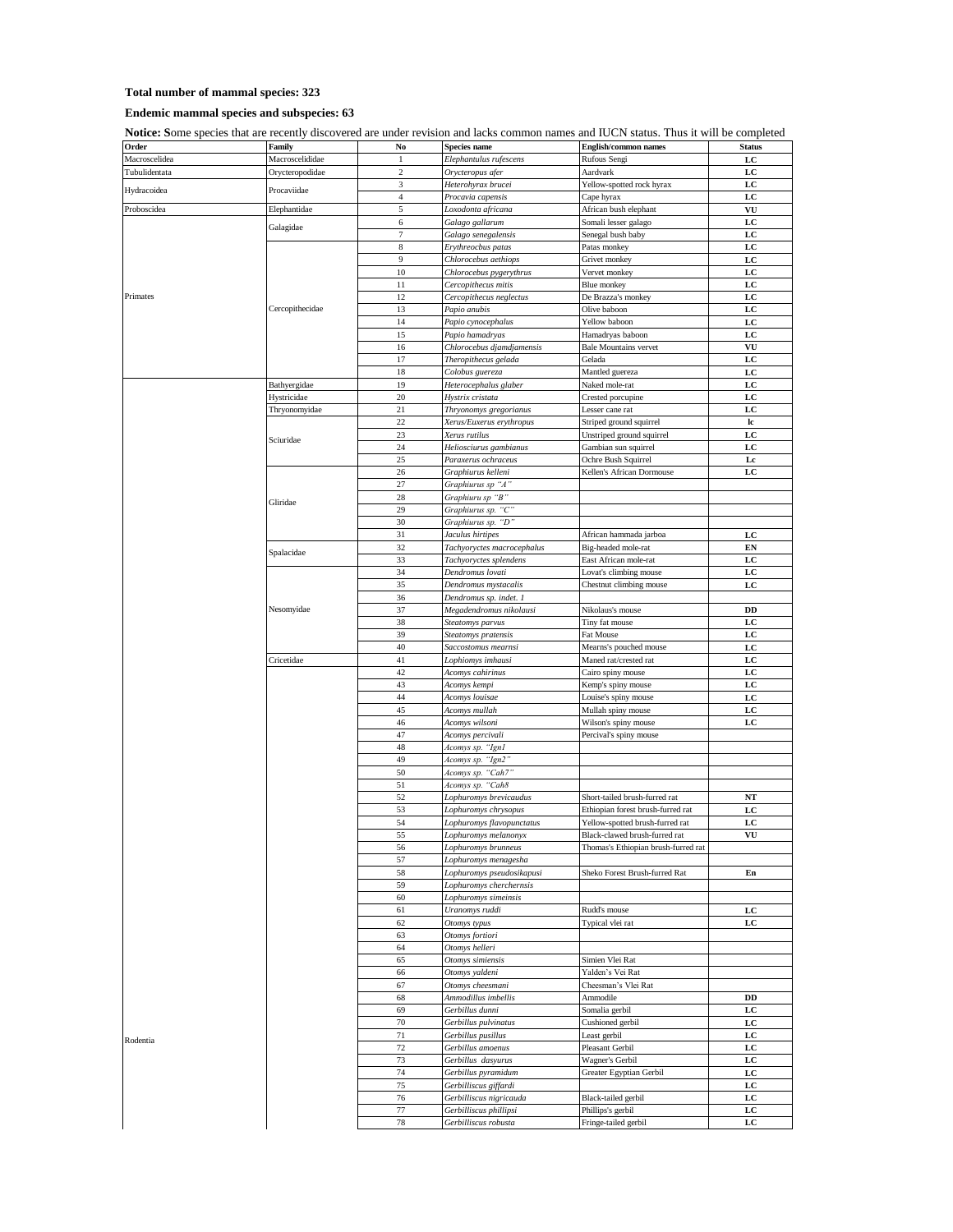## **Total number of mammal species: 323**

## **Endemic mammal species and subspecies: 63**

**Notice: S**ome species that are recently discovered are under revision and lacks common names and IUCN status. Thus it will be completed

| Order         | Family          | No             | Species name               | <b>English/common names</b>         | <b>Status</b> |
|---------------|-----------------|----------------|----------------------------|-------------------------------------|---------------|
| Macroscelidea | Macroscelididae | 1              | Elephantulus rufescens     | Rufous Sengi                        | LC            |
| Tubulidentata | Orycteropodidae | 2              | Orycteropus afer           | Aardvark                            | LC            |
|               |                 | 3              | Heterohyrax brucei         | Yellow-spotted rock hyrax           | LC            |
| Hydracoidea   | Procaviidae     |                |                            |                                     |               |
|               |                 | $\overline{4}$ | Procavia capensis          | Cape hyrax                          | LC            |
| Proboscidea   | Elephantidae    | 5              | Loxodonta africana         | African bush elephant               | VU            |
| Primates      | Galagidae       | 6              | Galago gallarum            | Somali lesser galago                | LC            |
|               |                 | $\tau$         | Galago senegalensis        | Senegal bush baby                   | LC            |
|               |                 |                |                            |                                     |               |
|               | Cercopithecidae | $\,$ 8 $\,$    | Erythreocbus patas         | Patas monkey                        | LC            |
|               |                 | 9              | Chlorocebus aethiops       | Grivet monkey                       | LC            |
|               |                 | 10             | Chlorocebus pygerythrus    | Vervet monkey                       | LC            |
|               |                 |                |                            |                                     |               |
|               |                 | 11             | Cercopithecus mitis        | Blue monkey                         | LC            |
|               |                 | 12             | Cercopithecus neglectus    | De Brazza's monkey                  | LC            |
|               |                 | 13             | Papio anubis               | Olive baboon                        | LC            |
|               |                 | 14             | Papio cynocephalus         | Yellow baboon                       | LC            |
|               |                 |                |                            |                                     |               |
|               |                 | 15             | Papio hamadryas            | Hamadryas baboon                    | LC            |
|               |                 | 16             | Chlorocebus djamdjamensis  | <b>Bale Mountains vervet</b>        | VU            |
|               |                 | 17             | Theropithecus gelada       | Gelada                              | LC            |
|               |                 |                |                            |                                     |               |
|               |                 | 18             | Colobus guereza            | Mantled guereza                     | LC            |
|               | Bathyergidae    | 19             | Heterocephalus glaber      | Naked mole-rat                      | LC            |
|               | Hystricidae     | 20             | Hystrix cristata           | Crested porcupine                   | LC            |
|               |                 | 21             |                            |                                     |               |
|               | Thryonomyidae   |                | Thryonomys gregorianus     | Lesser cane rat                     | LC            |
|               |                 | 22             | Xerus/Euxerus erythropus   | Striped ground squirrel             | lc            |
|               | Sciuridae       | 23             | Xerus rutilus              | Unstriped ground squirrel           | LC            |
|               |                 | 24             | Heliosciurus gambianus     | Gambian sun squirrel                | LC            |
|               |                 |                |                            |                                     |               |
|               |                 | 25             | Paraxerus ochraceus        | Ochre Bush Squirrel                 | Lc            |
|               |                 | 26             | Graphiurus kelleni         | Kellen's African Dormouse           | LC            |
|               |                 | 27             | Graphiurus sp "A"          |                                     |               |
|               |                 | 28             | Graphiuru sp "B"           |                                     |               |
|               | Gliridae        |                |                            |                                     |               |
|               |                 | 29             | Graphiurus sp. "C"         |                                     |               |
|               |                 | 30             | Graphiurus sp. "D'         |                                     |               |
|               |                 | 31             | Jaculus hirtipes           | African hammada jarboa              | LC            |
|               |                 |                |                            |                                     |               |
|               | Spalacidae      | 32             | Tachyoryctes macrocephalus | Big-headed mole-rat                 | EN            |
|               |                 | 33             | Tachyoryctes splendens     | East African mole-rat               | LC            |
|               |                 | 34             | Dendromus lovati           | Lovat's climbing mouse              | LC            |
|               |                 | 35             | Dendromus mystacalis       |                                     | LC            |
|               |                 |                |                            | Chestnut climbing mouse             |               |
|               |                 | 36             | Dendromus sp. indet. i     |                                     |               |
|               | Nesomyidae      | 37             | Megadendromus nikolausi    | Nikolaus's mouse                    | DD            |
|               |                 | 38             | Steatomys parvus           | Tiny fat mouse                      | LC            |
|               |                 |                |                            |                                     |               |
|               |                 | 39             | Steatomys pratensis        | Fat Mouse                           | LC            |
|               |                 | 40             | Saccostomus mearnsi        | Mearns's pouched mouse              | LC            |
|               | Cricetidae      | 41             | Lophiomys imhausi          | Maned rat/crested rat               | LC            |
|               |                 | 42             |                            |                                     |               |
|               |                 |                | Acomys cahirinus           | Cairo spiny mouse                   | LC            |
|               |                 | 43             | Acomys kempi               | Kemp's spiny mouse                  | LC            |
|               |                 | 44             | Acomys louisae             | Louise's spiny mouse                | LC            |
|               |                 | 45             | Acomys mullah              | Mullah spiny mouse                  | LC            |
|               |                 |                |                            |                                     |               |
|               |                 | 46             | Acomys wilsoni             | Wilson's spiny mouse                | LC            |
|               |                 | 47             | Acomys percivali           | Percival's spiny mouse              |               |
|               |                 | 48             | Acomys sp. "Ign1           |                                     |               |
|               |                 | 49             |                            |                                     |               |
|               |                 |                | Acomys sp. "Ign2           |                                     |               |
|               |                 | 50             | Acomys sp. "Cah7           |                                     |               |
|               |                 | 51             | Acomys sp. "Cah8           |                                     |               |
|               |                 | 52             | Lophuromys brevicaudus     | Short-tailed brush-furred rat       | NT            |
|               |                 |                |                            |                                     |               |
|               |                 | 53             | Lophuromys chrysopus       | Ethiopian forest brush-furred rat   | LC            |
|               |                 | 54             | Lophuromys flavopunctatus  | Yellow-spotted brush-furred rat     | LC            |
|               |                 | 55             | Lophuromys melanony        | Black-clawed brush-furred rat       | VU            |
|               |                 |                | Lophuromys brunneus        | Thomas's Ethiopian brush-furred rat |               |
|               |                 | 56             |                            |                                     |               |
|               |                 | 57             | Lophuromys menagesha       |                                     |               |
|               |                 | 58             | Lophuromys pseudosikapusi  | Sheko Forest Brush-furred Rat       | En            |
|               |                 | 59             | Lophuromys cherchernsis    |                                     |               |
|               |                 |                |                            |                                     |               |
|               |                 | 60             | Lophuromys simeinsis       |                                     |               |
|               |                 | 61             | Uranomys ruddi             | Rudd's mouse                        | LC            |
|               |                 | 62             | Otomys typus               | Typical vlei rat                    | LC            |
|               |                 | 63             | Otomys fortiori            |                                     |               |
|               |                 |                |                            |                                     |               |
|               |                 | 64             | Otomys helleri             |                                     |               |
|               |                 | 65             | Otomys simiensis           | Simien Vlei Rat                     |               |
|               |                 | 66             | Otomys yaldeni             | Yalden's Vei Rat                    |               |
|               |                 |                |                            |                                     |               |
|               |                 | 67             | Otomys cheesmani           | Cheesman's Vlei Rat                 |               |
|               |                 | 68             | Ammodillus imbellis        | Ammodile                            | DD            |
|               |                 | 69             | Gerbillus dunni            | Somalia gerbil                      | LC            |
|               |                 | 70             | Gerbillus pulvinatus       | Cushioned gerbil                    |               |
|               |                 |                |                            |                                     | LC            |
| Rodentia      |                 | 71             | Gerbillus pusillus         | Least gerbil                        | LC            |
|               |                 | 72             | Gerbillus amoenus          | Pleasant Gerbil                     | LC            |
|               |                 | 73             | Gerbillus dasyurus         | Wagner's Gerbil                     | LC            |
|               |                 |                |                            |                                     |               |
|               |                 | 74             | Gerbillus pyramidum        | Greater Egyptian Gerbil             | LC            |
|               |                 | 75             | Gerbilliscus giffardi      |                                     | LC            |
|               |                 | 76             | Gerbilliscus nigricauda    | Black-tailed gerbil                 | LC            |
|               |                 | 77             | Gerbilliscus phillipsi     |                                     |               |
|               |                 |                |                            | Phillips's gerbil                   | LC            |
|               |                 | 78             | Gerbilliscus robusta       | Fringe-tailed gerbil                | LC            |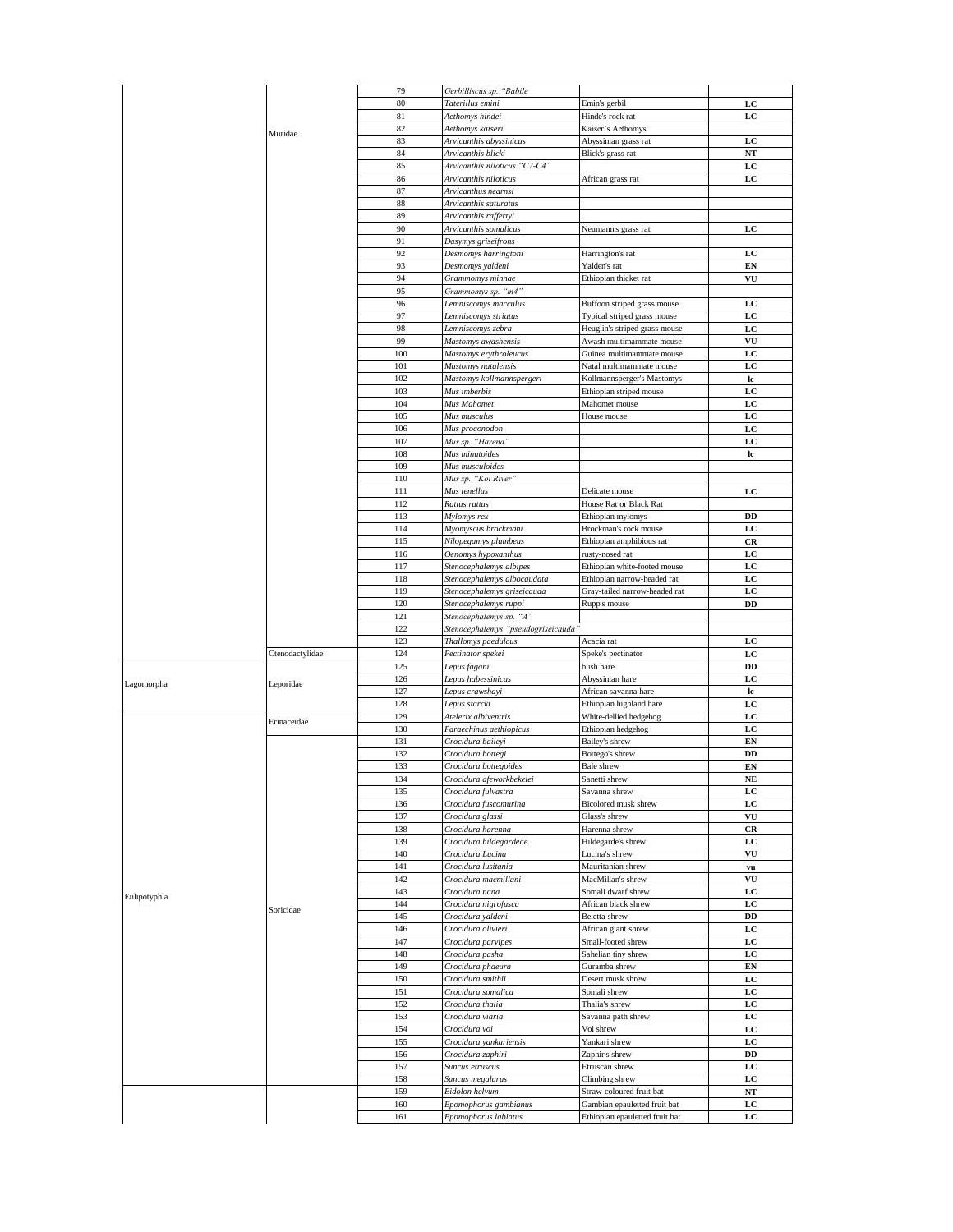|                            |                 | 79         | Gerbilliscus sp. "Babile                      |                                                                |           |
|----------------------------|-----------------|------------|-----------------------------------------------|----------------------------------------------------------------|-----------|
|                            |                 | 80         | Taterillus emini                              | Emin's gerbil                                                  | LC        |
|                            |                 | 81         | Aethomys hindei                               | Hinde's rock rat                                               | LC        |
|                            |                 | 82         | Aethomys kaiseri                              | Kaiser's Aethomys                                              |           |
|                            | Muridae         |            |                                               |                                                                |           |
|                            |                 | 83         | Arvicanthis abyssinicus                       | Abyssinian grass rat                                           | LC        |
|                            |                 | 84         | Arvicanthis blicki                            | Blick's grass rat                                              | NT        |
|                            |                 | 85         | Arvicanthis niloticus "C2-C4"                 |                                                                | LC        |
|                            |                 | 86         | Arvicanthis niloticus                         | African grass rat                                              | LC        |
|                            |                 |            |                                               |                                                                |           |
|                            |                 | 87         | Arvicanthus nearnsi                           |                                                                |           |
|                            |                 | 88         | Arvicanthis saturatus                         |                                                                |           |
|                            |                 | 89         | Arvicanthis raffertyi                         |                                                                |           |
|                            |                 | 90         | Arvicanthis somalicus                         | Neumann's grass rat                                            | LC        |
|                            |                 | 91         | Dasymys griseifrons                           |                                                                |           |
|                            |                 |            |                                               |                                                                |           |
|                            |                 | 92         | Desmomys harringtoni                          | Harrington's rat                                               | LC        |
|                            |                 | 93         | Desmomys valdeni                              | Yalden's rat                                                   | EN        |
|                            |                 | 94         | Grammomys minnae                              | Ethiopian thicket rat                                          | VU        |
|                            |                 | 95         | Grammomys sp. "m4"                            |                                                                |           |
|                            |                 | 96         |                                               |                                                                | LC        |
|                            |                 |            | Lemniscomys macculus                          | Buffoon striped grass mouse                                    |           |
|                            |                 | 97         | Lemniscomys striatus                          | Typical striped grass mouse                                    | LC        |
|                            |                 | 98         | Lemniscomys zebra                             | Heuglin's striped grass mouse                                  | LC        |
|                            |                 | 99         | Mastomys awashensis                           | Awash multimammate mouse                                       | VU        |
|                            |                 | 100        |                                               | Guinea multimammate mouse                                      | LC        |
|                            |                 |            | Mastomys erythroleucus                        |                                                                |           |
|                            |                 | 101        | Mastomys natalensis                           | Natal multimammate mouse                                       | LC        |
|                            |                 | 102        | Mastomys kollmannspergeri                     | Kollmannsperger's Mastomys                                     | lc        |
|                            |                 | 103        | Mus imberbis                                  | Ethiopian striped mouse                                        | LC        |
|                            |                 | 104        | Mus Mahomet                                   | Mahomet mouse                                                  | LC        |
|                            |                 |            |                                               |                                                                |           |
|                            |                 | 105        | Mus musculus                                  | House mouse                                                    | LC        |
|                            |                 | 106        | Mus proconodon                                |                                                                | LC        |
|                            |                 | 107        | Mus sp. "Harena"                              |                                                                | LC        |
|                            |                 | 108        | Mus minutoides                                |                                                                | lc        |
|                            |                 | 109        | Mus musculoides                               |                                                                |           |
|                            |                 |            |                                               |                                                                |           |
|                            |                 | 110        | Mus sp. "Koi River'                           |                                                                |           |
|                            |                 | 111        | Mus tenellus                                  | Delicate mouse                                                 | LC        |
|                            |                 | 112        | Rattus rattus                                 | House Rat or Black Rat                                         |           |
|                            |                 | 113        | Mylomys rex                                   | Ethiopian mylomys                                              | DD        |
|                            |                 |            |                                               |                                                                | LC        |
|                            |                 | 114        | Myomyscus brockmani                           | Brockman's rock mouse                                          |           |
|                            |                 | 115        | Nilopegamys plumbeus                          | Ethiopian amphibious rat                                       | <b>CR</b> |
|                            |                 | 116        | Oenomys hypoxanthus                           | rusty-nosed rat                                                | LC        |
|                            |                 | 117        | Stenocephalemys albipes                       | Ethiopian white-footed mouse                                   | LC        |
|                            |                 | 118        | Stenocephalemys albocaudata                   | Ethiopian narrow-headed rat                                    | LC        |
|                            |                 |            |                                               |                                                                |           |
|                            |                 | 119        | Stenocephalemys griseicauda                   | Gray-tailed narrow-headed rat                                  | LC        |
|                            |                 |            |                                               |                                                                | DD        |
|                            |                 | 120        | Stenocephalemys ruppi                         | Rupp's mouse                                                   |           |
|                            |                 | 121        | Stenocephalemys sp. "A"                       |                                                                |           |
|                            |                 |            |                                               |                                                                |           |
|                            |                 | 122        | Stenocephalemys "pseudogriseicauda"           |                                                                |           |
|                            |                 | 123        | Thallomys paedulcus                           | Acacia rat                                                     | LC        |
|                            | Ctenodactylidae | 124        | Pectinator spekei                             | Speke's pectinator                                             | LC        |
|                            |                 | 125        | Lepus fagani                                  | bush hare                                                      | DD        |
|                            |                 | 126        | Lepus habessinicus                            | Abyssinian hare                                                | LC        |
|                            | Leporidae       |            |                                               |                                                                |           |
|                            |                 | 127        | Lepus crawshayi                               | African savanna hare                                           | lc        |
|                            |                 | 128        | Lepus starcki                                 | Ethiopian highland hare                                        | LC        |
|                            |                 | 129        | Atelerix albiventris                          | White-dellied hedgehog                                         | LC        |
|                            | Erinaceidae     | 130        | Paraechinus aethiopicus                       | Ethiopian hedgehog                                             | LC        |
|                            |                 | 131        | Crocidura baileyi                             | Bailey's shrew                                                 | EN        |
|                            |                 |            |                                               |                                                                |           |
|                            |                 | 132        | Crocidura bottegi                             | Bottego's shrew                                                | DD        |
|                            |                 | 133        | Crocidura bottegoides                         | Bale shrew                                                     | EN        |
|                            |                 | 134        | Crocidura afeworkbekelei                      | Sanetti shrew                                                  | NE        |
|                            |                 | 135        | Crocidura fulvastra                           | Savanna shrew                                                  | LC        |
|                            |                 | 136        | Crocidura fuscomurina                         | Bicolored musk shrew                                           | LC        |
|                            |                 |            |                                               |                                                                |           |
|                            |                 | 137        | Crocidura glassi                              | Glass's shrew                                                  | VU        |
|                            |                 | 138        | Crocidura harenna                             | Harenna shrew                                                  | CR        |
|                            |                 | 139        | Crocidura hildegardeae                        | Hildegarde's shrew                                             | LC        |
|                            |                 | 140        | Crocidura Lucina                              | Lucina's shrew                                                 | VU        |
|                            |                 | 141        |                                               | Mauritanian shrew                                              |           |
|                            |                 |            | Crocidura lusitania                           |                                                                | vu        |
|                            |                 | 142        | Crocidura macmillani                          | MacMillan's shrew                                              | VU        |
|                            |                 | 143        | Crocidura nana                                | Somali dwarf shrew                                             | LC        |
|                            |                 | 144        | Crocidura nigrofusca                          | African black shrew                                            | LC        |
|                            | Soricidae       | 145        | Crocidura yaldeni                             | Beletta shrew                                                  | DD        |
|                            |                 |            |                                               |                                                                |           |
|                            |                 | 146        | Crocidura olivieri                            | African giant shrew                                            | LC        |
|                            |                 | 147        | Crocidura parvipes                            | Small-footed shrew                                             | LC        |
|                            |                 | 148        | Crocidura pasha                               | Sahelian tiny shrew                                            | LC        |
|                            |                 | 149        | Crocidura phaeura                             | Guramba shrew                                                  | EN        |
|                            |                 |            |                                               |                                                                |           |
|                            |                 | 150        | Crocidura smithii                             | Desert musk shrew                                              | LC        |
|                            |                 | 151        | Crocidura somalica                            | Somali shrew                                                   | LC        |
|                            |                 | 152        | Crocidura thalia                              | Thalia's shrew                                                 | LC        |
|                            |                 | 153        | Crocidura viaria                              | Savanna path shrew                                             | LC        |
|                            |                 | 154        |                                               | Voi shrew                                                      | LC        |
|                            |                 |            | Crocidura voi                                 |                                                                |           |
|                            |                 | 155        | Crocidura yankariensis                        | Yankari shrew                                                  | LC        |
|                            |                 | 156        | Crocidura zaphiri                             | Zaphir's shrew                                                 | DD        |
|                            |                 | 157        | Suncus etruscus                               | Etruscan shrew                                                 | LC        |
| Lagomorpha<br>Eulipotyphla |                 | 158        |                                               |                                                                |           |
|                            |                 |            | Suncus megalurus                              | Climbing shrew                                                 | LC        |
|                            |                 | 159        | Eidolon helvum                                | Straw-coloured fruit bat                                       | NT        |
|                            |                 | 160<br>161 | Epomophorus gambianus<br>Epomophorus labiatus | Gambian epauletted fruit bat<br>Ethiopian epauletted fruit bat | LC<br>LC  |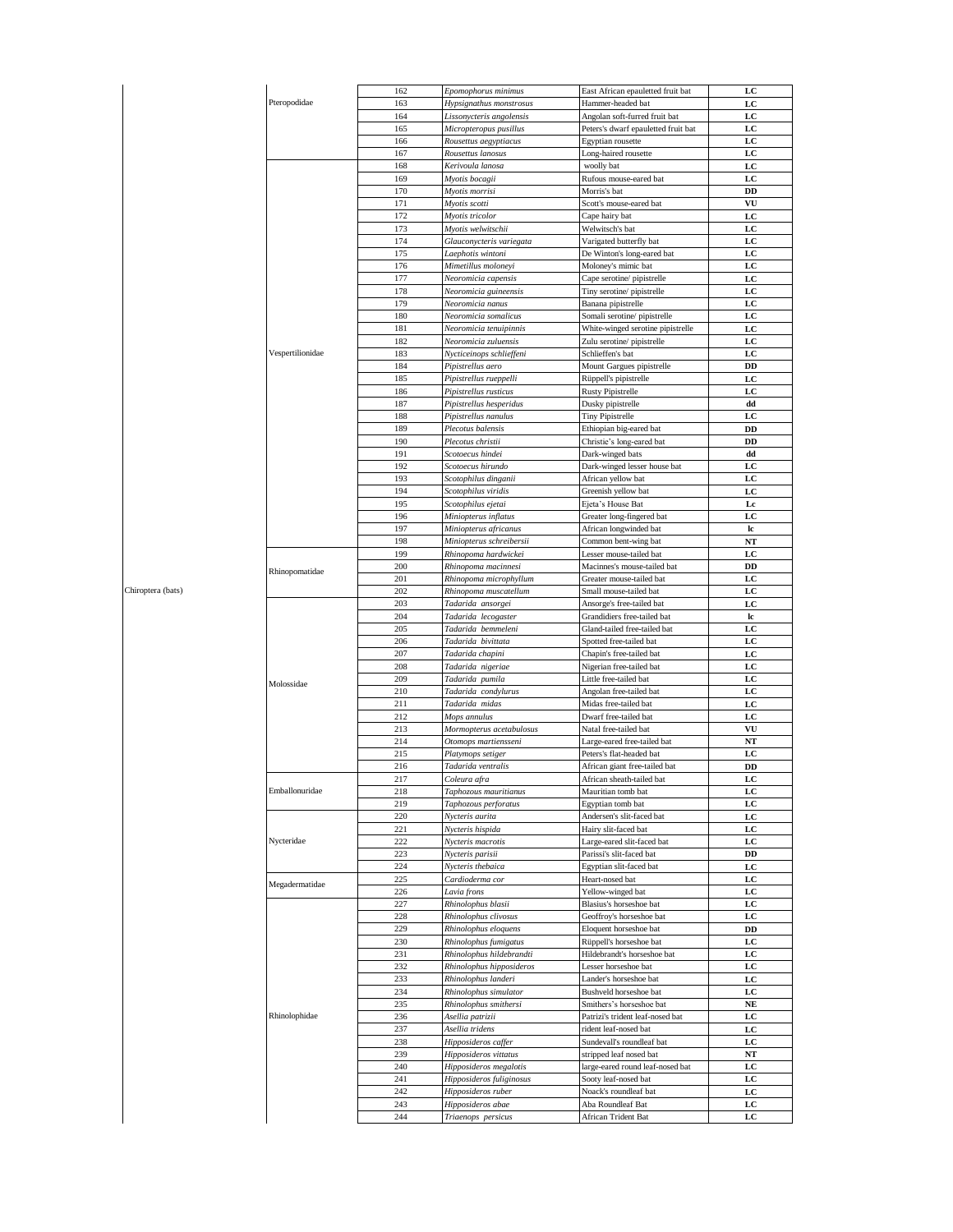|                   | Pteropodidae                 | 162 | Epomophorus minimus      | East African epauletted fruit bat   | LC          |
|-------------------|------------------------------|-----|--------------------------|-------------------------------------|-------------|
|                   |                              | 163 | Hypsignathus monstrosus  | Hammer-headed bat                   | LC          |
|                   |                              | 164 | Lissonycteris angolensis | Angolan soft-furred fruit bat       | LC          |
|                   |                              | 165 | Micropteropus pusillus   | Peters's dwarf epauletted fruit bat | LC          |
|                   |                              |     |                          |                                     |             |
|                   |                              | 166 | Rousettus aegyptiacus    | Egyptian rousette                   | LC          |
|                   |                              | 167 | Rousettus lanosus        | Long-haired rousette                | LC          |
|                   |                              | 168 | Kerivoula lanosa         | woolly bat                          | LC          |
|                   |                              | 169 | Myotis bocagii           | Rufous mouse-eared bat              | LC          |
|                   |                              | 170 | Myotis morrisi           | Morris's bat                        | DD          |
|                   |                              |     |                          |                                     |             |
|                   |                              | 171 | Myotis scotti            | Scott's mouse-eared bat             | VU          |
|                   |                              | 172 | Myotis tricolor          | Cape hairy bat                      | LC          |
|                   |                              | 173 | Myotis welwitschii       | Welwitsch's bat                     | LC          |
|                   |                              | 174 | Glauconycteris variegata | Varigated butterfly bat             | LC          |
|                   |                              |     | Laephotis wintoni        |                                     |             |
|                   |                              | 175 |                          | De Winton's long-eared bat          | LC          |
|                   |                              | 176 | Mimetillus moloneyi      | Moloney's mimic bat                 | $_{\rm LC}$ |
|                   |                              | 177 | Neoromicia capensis      | Cape serotine/ pipistrelle          | LC          |
|                   |                              | 178 | Neoromicia guineensis    | Tiny serotine/ pipistrelle          | LC          |
|                   |                              | 179 | Neoromicia nanus         | Banana pipistrelle                  | LC          |
|                   |                              | 180 | Neoromicia somalicus     |                                     | LC          |
|                   |                              |     |                          | Somali serotine/ pipistrelle        |             |
|                   |                              | 181 | Neoromicia tenuipinnis   | White-winged serotine pipistrelle   | LC          |
|                   |                              | 182 | Neoromicia zuluensis     | Zulu serotine/pipistrelle           | LC          |
|                   | Vespertilionidae             | 183 | Nycticeinops schlieffeni | Schlieffen's bat                    | LC          |
|                   |                              | 184 | Pipistrellus aero        | Mount Gargues pipistrelle           | DD          |
|                   |                              |     |                          |                                     |             |
|                   |                              | 185 | Pipistrellus rueppelli   | Rüppell's pipistrelle               | LC          |
|                   |                              | 186 | Pipistrellus rusticus    | Rusty Pipistrelle                   | LC          |
|                   |                              | 187 | Pipistrellus hesperidus  | Dusky pipistrelle                   | dd          |
|                   |                              | 188 | Pipistrellus nanulus     | <b>Tiny Pipistrelle</b>             | LC          |
|                   |                              |     |                          |                                     |             |
|                   |                              | 189 | Plecotus balensis        | Ethiopian big-eared bat             | DD          |
|                   |                              | 190 | Plecotus christii        | Christie's long-eared bat           | DD          |
|                   |                              | 191 | Scotoecus hindei         | Dark-winged bats                    | dd          |
|                   |                              | 192 | Scotoecus hirundo        | Dark-winged lesser house bat        | LC          |
|                   |                              | 193 | Scotophilus dinganii     | African yellow bat                  | LC          |
|                   |                              |     |                          |                                     |             |
|                   |                              | 194 | Scotophilus viridis      | Greenish yellow bat                 | LC          |
|                   |                              | 195 | Scotophilus ejetai       | Ejeta's House Bat                   | Lc          |
|                   |                              | 196 | Miniopterus inflatus     | Greater long-fingered bat           | LC          |
|                   |                              | 197 | Miniopterus africanus    | African longwinded bat              | lc          |
|                   |                              |     |                          |                                     |             |
|                   |                              | 198 | Miniopterus schreibersii | Common bent-wing bat                | NT          |
|                   |                              | 199 | Rhinopoma hardwickei     | Lesser mouse-tailed bat             | LC          |
|                   |                              | 200 | Rhinopoma macinnesi      | Macinnes's mouse-tailed bat         | DD          |
|                   | Rhinopomatidae               | 201 | Rhinopoma microphyllum   | Greater mouse-tailed bat            | LC          |
| Chiroptera (bats) |                              | 202 |                          | Small mouse-tailed bat              | LC          |
|                   |                              |     | Rhinopoma muscatellum    |                                     |             |
|                   | Molossidae                   | 203 | Tadarida ansorgei        | Ansorge's free-tailed bat           | LC          |
|                   |                              | 204 | Tadarida lecogaster      | Grandidiers free-tailed bat         | lc          |
|                   |                              | 205 | Tadarida bemmeleni       | Gland-tailed free-tailed bat        | LC          |
|                   |                              | 206 | Tadarida bivittata       | Spotted free-tailed bat             | LC          |
|                   |                              |     |                          |                                     |             |
|                   |                              | 207 | Tadarida chapini         | Chapin's free-tailed bat            | LC          |
|                   |                              | 208 | Tadarida nigeriae        | Nigerian free-tailed bat            | LC          |
|                   |                              | 209 | Tadarida pumila          | Little free-tailed bat              | LC          |
|                   |                              | 210 | Tadarida condylurus      | Angolan free-tailed bat             | LC          |
|                   |                              | 211 | Tadarida midas           | Midas free-tailed bat               | LC          |
|                   |                              |     |                          |                                     |             |
|                   |                              | 212 | Mops annulus             | Dwarf free-tailed bat               | LC          |
|                   |                              | 213 | Mormopterus acetabulosus | Natal free-tailed bat               | VU          |
|                   |                              | 214 | Otomops martiensseni     | Large-eared free-tailed bat         | NT          |
|                   |                              | 215 | Platymops setiger        | Peters's flat-headed bat            | LC          |
|                   |                              | 216 | Tadarida ventralis       | African giant free-tailed bat       | DD          |
|                   |                              |     |                          |                                     |             |
|                   |                              | 217 | Coleura afra             | African sheath-tailed bat           | LC          |
|                   | Emballonuridae<br>Nycteridae | 218 | Taphozous mauritianus    | Mauritian tomb bat                  | LC          |
|                   |                              | 219 | Taphozous perforatus     | Egyptian tomb bat                   | LC          |
|                   |                              | 220 | Nycteris aurita          | Andersen's slit-faced bat           | LC          |
|                   |                              | 221 |                          | Hairy slit-faced bat                |             |
|                   |                              |     | Nycteris hispida         |                                     | LC          |
|                   |                              | 222 | Nycteris macrotis        | Large-eared slit-faced bat          | LC          |
|                   |                              | 223 | Nycteris parisii         | Parissi's slit-faced bat            | DD          |
|                   |                              | 224 | Nycteris thebaica        | Egyptian slit-faced bat             | LC          |
|                   |                              | 225 | Cardioderma cor          | Heart-nosed bat                     | LC          |
|                   | Megadermatidae               |     |                          |                                     |             |
|                   |                              | 226 | Lavia frons              | Yellow-winged bat                   | LC          |
|                   | Rhinolophidae                | 227 | Rhinolophus blasii       | Blasius's horseshoe bat             | LC          |
|                   |                              | 228 | Rhinolophus clivosus     | Geoffroy's horseshoe bat            | LC          |
|                   |                              | 229 | Rhinolophus eloquens     | Eloquent horseshoe bat              | DD          |
|                   |                              |     |                          |                                     |             |
|                   |                              | 230 | Rhinolophus fumigatus    | Rüppell's horseshoe bat             | LC          |
|                   |                              | 231 | Rhinolophus hildebrandti | Hildebrandt's horseshoe bat         | LC          |
|                   |                              | 232 | Rhinolophus hipposideros | Lesser horseshoe bat                | LC          |
|                   |                              | 233 | Rhinolophus landeri      | Lander's horseshoe bat              | LC          |
|                   |                              | 234 |                          |                                     |             |
|                   |                              |     | Rhinolophus simulator    | Bushveld horseshoe bat              | LC          |
|                   |                              | 235 | Rhinolophus smithersi    | Smithers's horseshoe bat            | $N\!E$      |
|                   |                              | 236 | Asellia patrizii         | Patrizi's trident leaf-nosed bat    | LC          |
|                   |                              | 237 | Asellia tridens          | rident leaf-nosed bat               | LC          |
|                   |                              | 238 | Hipposideros caffer      | Sundevall's roundleaf bat           | LC          |
|                   |                              |     |                          |                                     |             |
|                   |                              | 239 | Hipposideros vittatus    | stripped leaf nosed bat             | NT          |
|                   |                              | 240 | Hipposideros megalotis   | large-eared round leaf-nosed bat    | LC          |
|                   |                              | 241 | Hipposideros fuliginosus | Sooty leaf-nosed bat                | LC          |
|                   |                              | 242 | Hipposideros ruber       | Noack's roundleaf bat               | LC          |
|                   |                              |     |                          |                                     |             |
|                   |                              | 243 | Hipposideros abae        | Aba Roundleaf Bat                   | LC          |
|                   |                              | 244 | Triaenops persicus       | African Trident Bat                 | LC          |